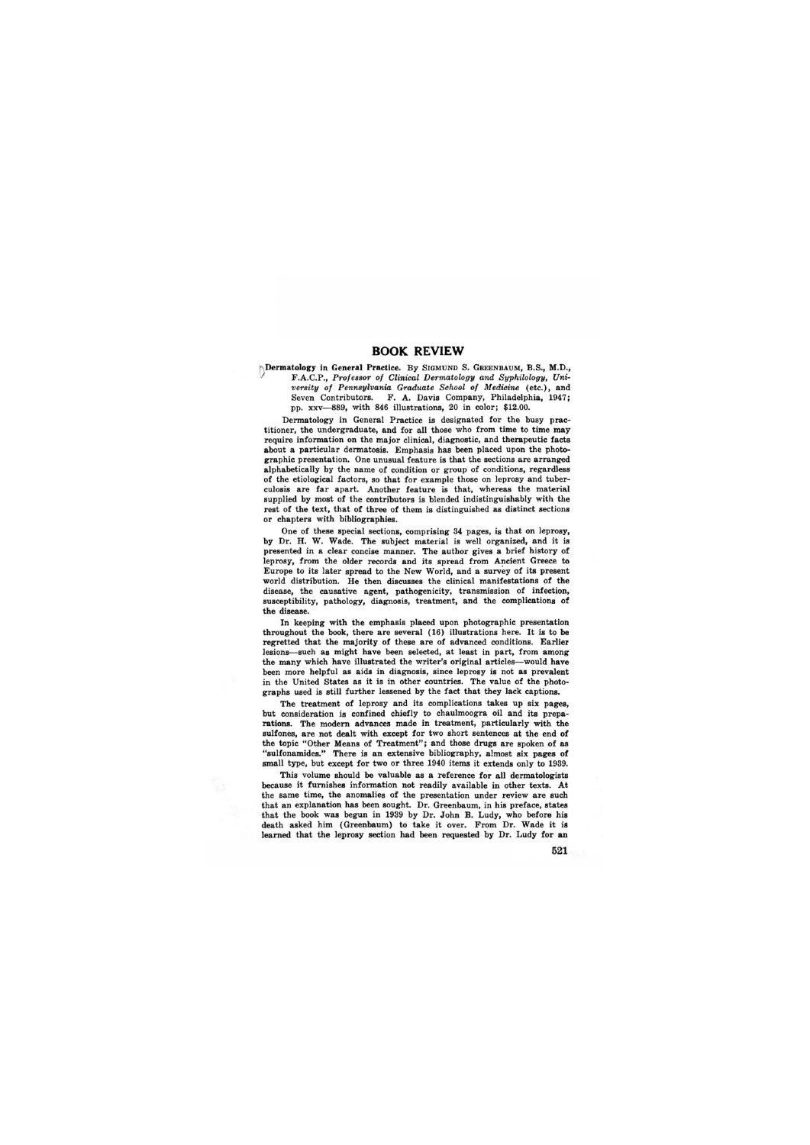## **BOOK REVIEW**

**h** Dermatology in General Practice. By SIGMUND S. GREENBAUM, B.S., M.D., 1/ F.A.C.P., *Professor of Clinical Dermatology and Syphilology, University of Pennsylvania Graduate School of Medicine* (etc.), and Seven Contributors. F. A. Davis Company, Philadelphia, 1947; pp. xxv--889, with 846 illustrations, 20 in color; \$12.00.

Dermatology in General Practice is designated for the busy practitioner, the undergraduate, and for all those who from time to time may require information on the major clinical, diagnostic, and therapeutic facts about a particular dermatosis. Emphasis has been placed upon the photographic presentation. One unusual feature is that the sections are arranged alphabetically by the name of condition or group of conditions, regardless of the etiological factors, so that for example those on leprosy and tuberculosis are far apart. Another feature is that, whereas the material supplied by most of the contributors is blended indistinguishably with the rest of the text, that of three of them is distinguished as distinct sections or chapters with bibliographies.

One of these special sections, comprising 34 pages, is that on leprosy, by Dr. H. W. Wade. The subject material is well organized, and it is presented in a clear concise manner. The author gives a brief history of leprosy, from the older records and its spread from Ancient Greece to Europe to its later spread to the New World, and a survey of its present world distribution. He then discusses the clinical manifestations of the disease, the causative agent, pathogenicity, transmission of infection, susceptibility, pathology, diagnosis, treatment, and the complications of the disease.

In keeping with the emphasis placed upon photographic presentation throughout the book, there are several (16) illustrations here. It is to be regretted that the majority of these are of advanced conditions. Earlier lesions--such as might have been selected, at least in part, from among the many which have illustrated the writer's original articles-would have been more helpful as aids in diagnosis, since leprosy is not as prevalent in the United States as it is in other countries. The value of the photographs used is still further lessened by the fact that they lack captions.

The treatment of leprosy and its complications takes up six pages, but consideration is confined chiefly to chaulmoogra oil and its preparations. The modern advances made in treatment, particularly with the sulfones, are not dealt with except for two short sentences at the end of the topic "Other Means of Treatment"; and those drugs are spoken of as "sulfonamides." There is an extensive bibliography, almost six pages of small type, but except for two or three 1940 items it extends only to 1939.

This volume should be valuable as a reference for all dermatologists because it furnishes information not readily available in other texts. At the same time, the anomalies of the presentation under review are such that an explanation has been sought. Dr. Greenbaum, in his preface, states that the book was begun in 1939 by Dr. John B. Ludy, who before his death asked him (Greenbaum) to take it over. From Dr. Wade it is learned that the leprosy section had been requested by Dr. Ludy for an